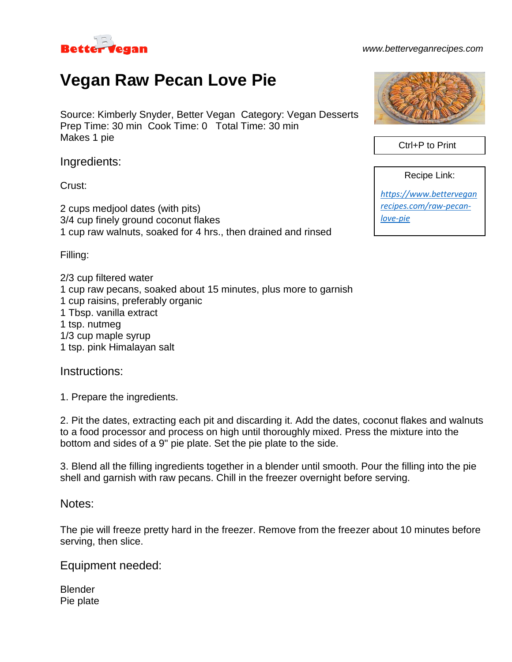

## *www.betterveganrecipes.com*

## **Vegan Raw Pecan Love Pie**

Source: Kimberly Snyder, Better Vegan Category: Vegan Desserts Prep Time: 30 min Cook Time: 0 Total Time: 30 min Makes 1 pie

Ingredients:

Crust:

2 cups medjool dates (with pits) 3/4 cup finely ground coconut flakes 1 cup raw walnuts, soaked for 4 hrs., then drained and rinsed

Filling:

2/3 cup filtered water 1 cup raw pecans, soaked about 15 minutes, plus more to garnish 1 cup raisins, preferably organic 1 Tbsp. vanilla extract 1 tsp. nutmeg 1/3 cup maple syrup 1 tsp. pink Himalayan salt

Instructions:

1. Prepare the ingredients.

2. Pit the dates, extracting each pit and discarding it. Add the dates, coconut flakes and walnuts to a food processor and process on high until thoroughly mixed. Press the mixture into the bottom and sides of a 9" pie plate. Set the pie plate to the side.

3. Blend all the filling ingredients together in a blender until smooth. Pour the filling into the pie shell and garnish with raw pecans. Chill in the freezer overnight before serving.

Notes:

The pie will freeze pretty hard in the freezer. Remove from the freezer about 10 minutes before serving, then slice.

Equipment needed:

Blender Pie plate



Ctrl+P to Print

Recipe Link:

*[https://www.bettervegan](https://www.betterveganrecipes.com/raw-pecan-love-pie) [recipes.com/raw-pecan](https://www.betterveganrecipes.com/raw-pecan-love-pie)[love-pie](https://www.betterveganrecipes.com/raw-pecan-love-pie)*